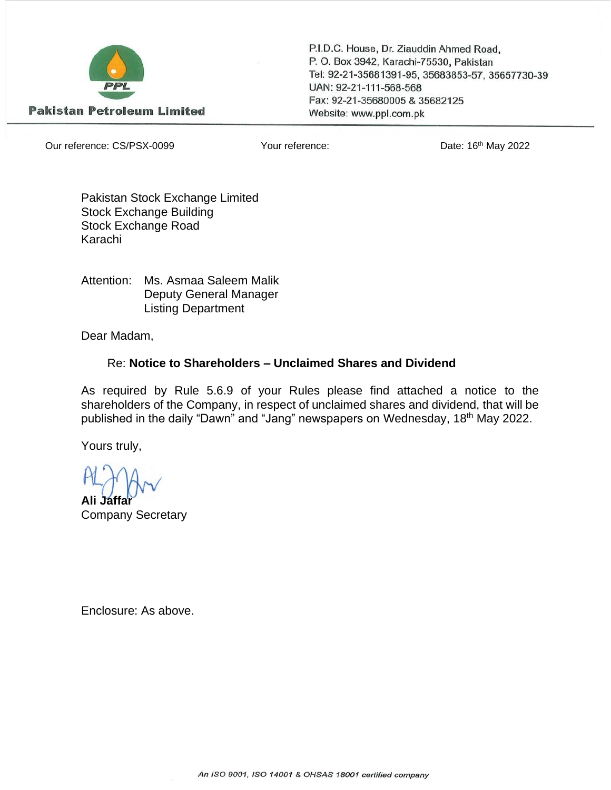

P.I.D.C. House, Dr. Ziauddin Ahmed Road, P. O. Box 3942, Karachi-75530, Pakistan Tel: 92-21-35681391-95, 35683853-57, 35657730-39 UAN: 92-21-111-568-568 Fax: 92-21-35680005 & 35682125 Website: www.ppl.com.pk

Our reference: CS/PSX-0099 Your reference: Date: 16th May 2022

Pakistan Stock Exchange Limited Stock Exchange Building Stock Exchange Road Karachi

Attention: Ms. Asmaa Saleem Malik Deputy General Manager Listing Department

Dear Madam,

## Re: **Notice to Shareholders – Unclaimed Shares and Dividend**

As required by Rule 5.6.9 of your Rules please find attached a notice to the shareholders of the Company, in respect of unclaimed shares and dividend, that will be published in the daily "Dawn" and "Jang" newspapers on Wednesday, 18<sup>th</sup> May 2022.

Yours truly,

**Ali Jaffar** Company Secretary

Enclosure: As above.